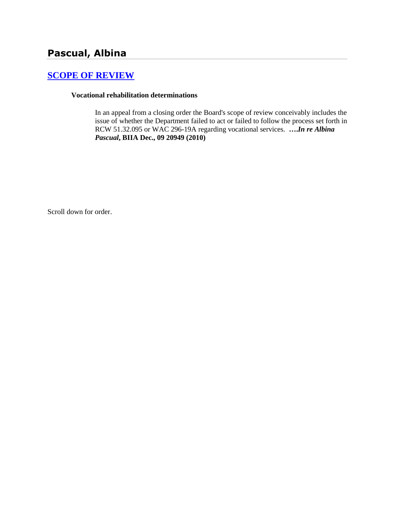# **Pascual, Albina**

## **[SCOPE OF REVIEW](http://www.biia.wa.gov/SDSubjectIndex.html#SCOPE_OF_REVIEW)**

#### **Vocational rehabilitation determinations**

In an appeal from a closing order the Board's scope of review conceivably includes the issue of whether the Department failed to act or failed to follow the process set forth in RCW 51.32.095 or WAC 296-19A regarding vocational services. **….***In re Albina Pascual***, BIIA Dec., 09 20949 (2010)**

Scroll down for order.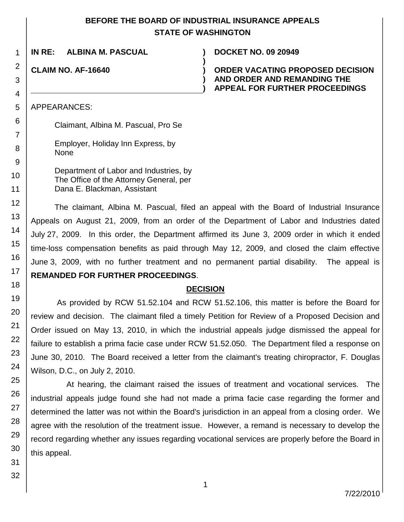## **BEFORE THE BOARD OF INDUSTRIAL INSURANCE APPEALS STATE OF WASHINGTON**

**)**

**) )**

**IN RE: ALBINA M. PASCUAL ) DOCKET NO. 09 20949**

**CLAIM NO. AF-16640 )**

#### **ORDER VACATING PROPOSED DECISION AND ORDER AND REMANDING THE APPEAL FOR FURTHER PROCEEDINGS**

APPEARANCES:

Claimant, Albina M. Pascual, Pro Se

Employer, Holiday Inn Express, by None

Department of Labor and Industries, by The Office of the Attorney General, per Dana E. Blackman, Assistant

The claimant, Albina M. Pascual, filed an appeal with the Board of Industrial Insurance Appeals on August 21, 2009, from an order of the Department of Labor and Industries dated July 27, 2009. In this order, the Department affirmed its June 3, 2009 order in which it ended time-loss compensation benefits as paid through May 12, 2009, and closed the claim effective June 3, 2009, with no further treatment and no permanent partial disability. The appeal is **REMANDED FOR FURTHER PROCEEDINGS**.

### **DECISION**

As provided by RCW 51.52.104 and RCW 51.52.106, this matter is before the Board for review and decision. The claimant filed a timely Petition for Review of a Proposed Decision and Order issued on May 13, 2010, in which the industrial appeals judge dismissed the appeal for failure to establish a prima facie case under RCW 51.52.050. The Department filed a response on June 30, 2010. The Board received a letter from the claimant's treating chiropractor, F. Douglas Wilson, D.C., on July 2, 2010.

At hearing, the claimant raised the issues of treatment and vocational services. The industrial appeals judge found she had not made a prima facie case regarding the former and determined the latter was not within the Board's jurisdiction in an appeal from a closing order. We agree with the resolution of the treatment issue. However, a remand is necessary to develop the record regarding whether any issues regarding vocational services are properly before the Board in this appeal.

1

2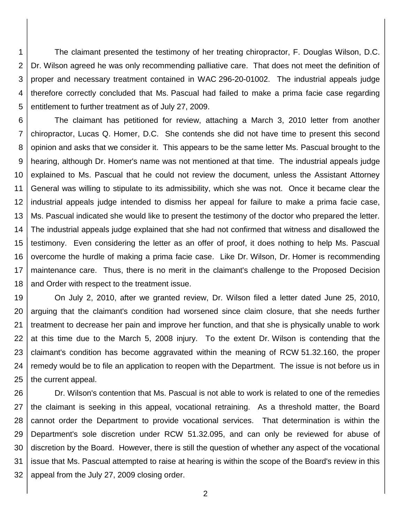1 2 3 4 5 The claimant presented the testimony of her treating chiropractor, F. Douglas Wilson, D.C. Dr. Wilson agreed he was only recommending palliative care. That does not meet the definition of proper and necessary treatment contained in WAC 296-20-01002. The industrial appeals judge therefore correctly concluded that Ms. Pascual had failed to make a prima facie case regarding entitlement to further treatment as of July 27, 2009.

6 7 8 9 10 11 12 13 14 15 16 17 18 The claimant has petitioned for review, attaching a March 3, 2010 letter from another chiropractor, Lucas Q. Homer, D.C. She contends she did not have time to present this second opinion and asks that we consider it. This appears to be the same letter Ms. Pascual brought to the hearing, although Dr. Homer's name was not mentioned at that time. The industrial appeals judge explained to Ms. Pascual that he could not review the document, unless the Assistant Attorney General was willing to stipulate to its admissibility, which she was not. Once it became clear the industrial appeals judge intended to dismiss her appeal for failure to make a prima facie case, Ms. Pascual indicated she would like to present the testimony of the doctor who prepared the letter. The industrial appeals judge explained that she had not confirmed that witness and disallowed the testimony. Even considering the letter as an offer of proof, it does nothing to help Ms. Pascual overcome the hurdle of making a prima facie case. Like Dr. Wilson, Dr. Homer is recommending maintenance care. Thus, there is no merit in the claimant's challenge to the Proposed Decision and Order with respect to the treatment issue.

19 20 21 22 23 24 25 On July 2, 2010, after we granted review, Dr. Wilson filed a letter dated June 25, 2010, arguing that the claimant's condition had worsened since claim closure, that she needs further treatment to decrease her pain and improve her function, and that she is physically unable to work at this time due to the March 5, 2008 injury. To the extent Dr. Wilson is contending that the claimant's condition has become aggravated within the meaning of RCW 51.32.160, the proper remedy would be to file an application to reopen with the Department. The issue is not before us in the current appeal.

26 27 28 29 30 31 32 Dr. Wilson's contention that Ms. Pascual is not able to work is related to one of the remedies the claimant is seeking in this appeal, vocational retraining. As a threshold matter, the Board cannot order the Department to provide vocational services. That determination is within the Department's sole discretion under RCW 51.32.095, and can only be reviewed for abuse of discretion by the Board. However, there is still the question of whether any aspect of the vocational issue that Ms. Pascual attempted to raise at hearing is within the scope of the Board's review in this appeal from the July 27, 2009 closing order.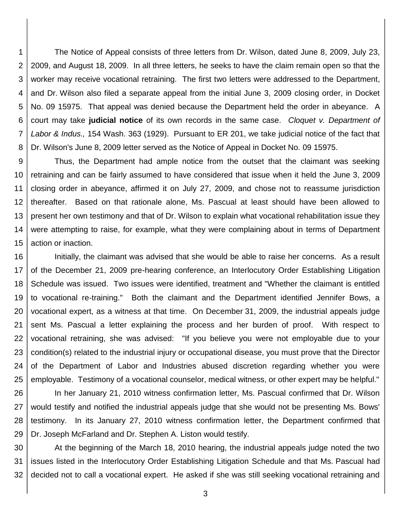1 2 3 4 5 6 7 8 The Notice of Appeal consists of three letters from Dr. Wilson, dated June 8, 2009, July 23, 2009, and August 18, 2009. In all three letters, he seeks to have the claim remain open so that the worker may receive vocational retraining. The first two letters were addressed to the Department, and Dr. Wilson also filed a separate appeal from the initial June 3, 2009 closing order, in Docket No. 09 15975. That appeal was denied because the Department held the order in abeyance. A court may take **judicial notice** of its own records in the same case. *Cloquet v. Department of Labor & Indus.,* 154 Wash. 363 (1929). Pursuant to ER 201, we take judicial notice of the fact that Dr. Wilson's June 8, 2009 letter served as the Notice of Appeal in Docket No. 09 15975.

9 10 11 12 13 14 15 Thus, the Department had ample notice from the outset that the claimant was seeking retraining and can be fairly assumed to have considered that issue when it held the June 3, 2009 closing order in abeyance, affirmed it on July 27, 2009, and chose not to reassume jurisdiction thereafter. Based on that rationale alone, Ms. Pascual at least should have been allowed to present her own testimony and that of Dr. Wilson to explain what vocational rehabilitation issue they were attempting to raise, for example, what they were complaining about in terms of Department action or inaction.

16 17 18 19 20 21 22 23 24 25 Initially, the claimant was advised that she would be able to raise her concerns. As a result of the December 21, 2009 pre-hearing conference, an Interlocutory Order Establishing Litigation Schedule was issued. Two issues were identified, treatment and "Whether the claimant is entitled to vocational re-training." Both the claimant and the Department identified Jennifer Bows, a vocational expert, as a witness at that time. On December 31, 2009, the industrial appeals judge sent Ms. Pascual a letter explaining the process and her burden of proof. With respect to vocational retraining, she was advised: "If you believe you were not employable due to your condition(s) related to the industrial injury or occupational disease, you must prove that the Director of the Department of Labor and Industries abused discretion regarding whether you were employable. Testimony of a vocational counselor, medical witness, or other expert may be helpful."

26 27 28 29 In her January 21, 2010 witness confirmation letter, Ms. Pascual confirmed that Dr. Wilson would testify and notified the industrial appeals judge that she would not be presenting Ms. Bows' testimony. In its January 27, 2010 witness confirmation letter, the Department confirmed that Dr. Joseph McFarland and Dr. Stephen A. Liston would testify.

30 31 32 At the beginning of the March 18, 2010 hearing, the industrial appeals judge noted the two issues listed in the Interlocutory Order Establishing Litigation Schedule and that Ms. Pascual had decided not to call a vocational expert. He asked if she was still seeking vocational retraining and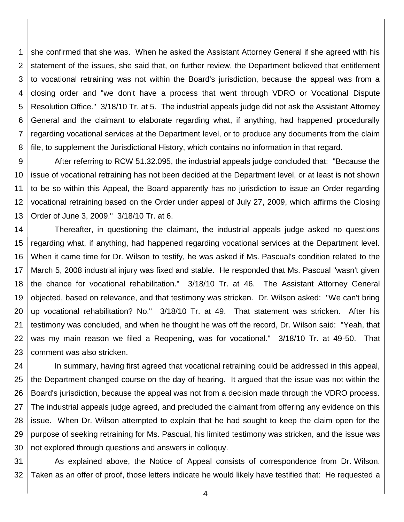1 2 3 4 5 6 7 8 she confirmed that she was. When he asked the Assistant Attorney General if she agreed with his statement of the issues, she said that, on further review, the Department believed that entitlement to vocational retraining was not within the Board's jurisdiction, because the appeal was from a closing order and "we don't have a process that went through VDRO or Vocational Dispute Resolution Office." 3/18/10 Tr. at 5. The industrial appeals judge did not ask the Assistant Attorney General and the claimant to elaborate regarding what, if anything, had happened procedurally regarding vocational services at the Department level, or to produce any documents from the claim file, to supplement the Jurisdictional History, which contains no information in that regard.

9 10 11 12 13 After referring to RCW 51.32.095, the industrial appeals judge concluded that: "Because the issue of vocational retraining has not been decided at the Department level, or at least is not shown to be so within this Appeal, the Board apparently has no jurisdiction to issue an Order regarding vocational retraining based on the Order under appeal of July 27, 2009, which affirms the Closing Order of June 3, 2009." 3/18/10 Tr. at 6.

14 15 16 17 18 19 20 21 22 23 Thereafter, in questioning the claimant, the industrial appeals judge asked no questions regarding what, if anything, had happened regarding vocational services at the Department level. When it came time for Dr. Wilson to testify, he was asked if Ms. Pascual's condition related to the March 5, 2008 industrial injury was fixed and stable. He responded that Ms. Pascual "wasn't given the chance for vocational rehabilitation." 3/18/10 Tr. at 46. The Assistant Attorney General objected, based on relevance, and that testimony was stricken. Dr. Wilson asked: "We can't bring up vocational rehabilitation? No." 3/18/10 Tr. at 49. That statement was stricken. After his testimony was concluded, and when he thought he was off the record, Dr. Wilson said: "Yeah, that was my main reason we filed a Reopening, was for vocational." 3/18/10 Tr. at 49-50. That comment was also stricken.

24 25 26 27 28 29 30 In summary, having first agreed that vocational retraining could be addressed in this appeal, the Department changed course on the day of hearing. It argued that the issue was not within the Board's jurisdiction, because the appeal was not from a decision made through the VDRO process. The industrial appeals judge agreed, and precluded the claimant from offering any evidence on this issue. When Dr. Wilson attempted to explain that he had sought to keep the claim open for the purpose of seeking retraining for Ms. Pascual, his limited testimony was stricken, and the issue was not explored through questions and answers in colloquy.

31 32 As explained above, the Notice of Appeal consists of correspondence from Dr. Wilson. Taken as an offer of proof, those letters indicate he would likely have testified that: He requested a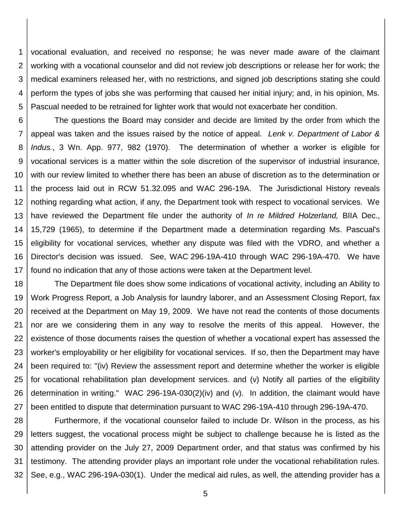1 2 3 4 5 vocational evaluation, and received no response; he was never made aware of the claimant working with a vocational counselor and did not review job descriptions or release her for work; the medical examiners released her, with no restrictions, and signed job descriptions stating she could perform the types of jobs she was performing that caused her initial injury; and, in his opinion, Ms. Pascual needed to be retrained for lighter work that would not exacerbate her condition.

6 7 8 9 10 11 12 13 14 15 16 17 The questions the Board may consider and decide are limited by the order from which the appeal was taken and the issues raised by the notice of appeal. *Lenk v. Department of Labor & Indus.*, 3 Wn. App. 977, 982 (1970). The determination of whether a worker is eligible for vocational services is a matter within the sole discretion of the supervisor of industrial insurance, with our review limited to whether there has been an abuse of discretion as to the determination or the process laid out in RCW 51.32.095 and WAC 296-19A. The Jurisdictional History reveals nothing regarding what action, if any, the Department took with respect to vocational services. We have reviewed the Department file under the authority of *In re Mildred Holzerland,* BIIA Dec., 15,729 (1965), to determine if the Department made a determination regarding Ms. Pascual's eligibility for vocational services, whether any dispute was filed with the VDRO, and whether a Director's decision was issued. See, WAC 296-19A-410 through WAC 296-19A-470. We have found no indication that any of those actions were taken at the Department level.

18 19 20 21 22 23 24 25 26 27 The Department file does show some indications of vocational activity, including an Ability to Work Progress Report, a Job Analysis for laundry laborer, and an Assessment Closing Report, fax received at the Department on May 19, 2009. We have not read the contents of those documents nor are we considering them in any way to resolve the merits of this appeal. However, the existence of those documents raises the question of whether a vocational expert has assessed the worker's employability or her eligibility for vocational services. If so, then the Department may have been required to: "(iv) Review the assessment report and determine whether the worker is eligible for vocational rehabilitation plan development services. and (v) Notify all parties of the eligibility determination in writing." WAC 296-19A-030(2)(iv) and (v). In addition, the claimant would have been entitled to dispute that determination pursuant to WAC 296-19A-410 through 296-19A-470.

28 29 30 31 32 Furthermore, if the vocational counselor failed to include Dr. Wilson in the process, as his letters suggest, the vocational process might be subject to challenge because he is listed as the attending provider on the July 27, 2009 Department order, and that status was confirmed by his testimony. The attending provider plays an important role under the vocational rehabilitation rules. See, e.g., WAC 296-19A-030(1). Under the medical aid rules, as well, the attending provider has a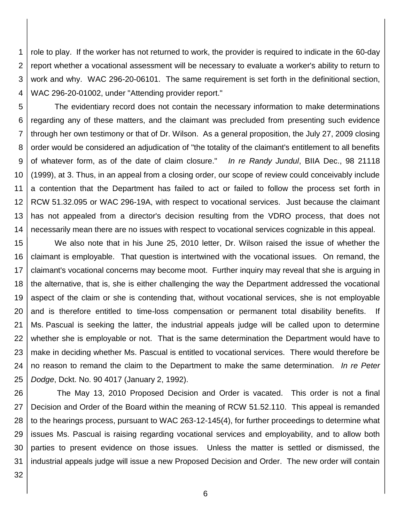1 2 3 4 role to play. If the worker has not returned to work, the provider is required to indicate in the 60-day report whether a vocational assessment will be necessary to evaluate a worker's ability to return to work and why. WAC 296-20-06101. The same requirement is set forth in the definitional section, WAC 296-20-01002, under "Attending provider report."

5 6 7 8 9 10 11 12 13 14 The evidentiary record does not contain the necessary information to make determinations regarding any of these matters, and the claimant was precluded from presenting such evidence through her own testimony or that of Dr. Wilson. As a general proposition, the July 27, 2009 closing order would be considered an adjudication of "the totality of the claimant's entitlement to all benefits of whatever form, as of the date of claim closure." *In re Randy Jundul*, BIIA Dec., 98 21118 (1999), at 3. Thus, in an appeal from a closing order, our scope of review could conceivably include a contention that the Department has failed to act or failed to follow the process set forth in RCW 51.32.095 or WAC 296-19A, with respect to vocational services. Just because the claimant has not appealed from a director's decision resulting from the VDRO process, that does not necessarily mean there are no issues with respect to vocational services cognizable in this appeal.

15 16 17 18 19 20 21 22 23 24 25 We also note that in his June 25, 2010 letter, Dr. Wilson raised the issue of whether the claimant is employable. That question is intertwined with the vocational issues. On remand, the claimant's vocational concerns may become moot. Further inquiry may reveal that she is arguing in the alternative, that is, she is either challenging the way the Department addressed the vocational aspect of the claim or she is contending that, without vocational services, she is not employable and is therefore entitled to time-loss compensation or permanent total disability benefits. If Ms. Pascual is seeking the latter, the industrial appeals judge will be called upon to determine whether she is employable or not. That is the same determination the Department would have to make in deciding whether Ms. Pascual is entitled to vocational services. There would therefore be no reason to remand the claim to the Department to make the same determination. *In re Peter Dodge*, Dckt. No. 90 4017 (January 2, 1992).

26 27 28 29 30 31 The May 13, 2010 Proposed Decision and Order is vacated. This order is not a final Decision and Order of the Board within the meaning of RCW 51.52.110. This appeal is remanded to the hearings process, pursuant to WAC 263-12-145(4), for further proceedings to determine what issues Ms. Pascual is raising regarding vocational services and employability, and to allow both parties to present evidence on those issues. Unless the matter is settled or dismissed, the industrial appeals judge will issue a new Proposed Decision and Order. The new order will contain

32